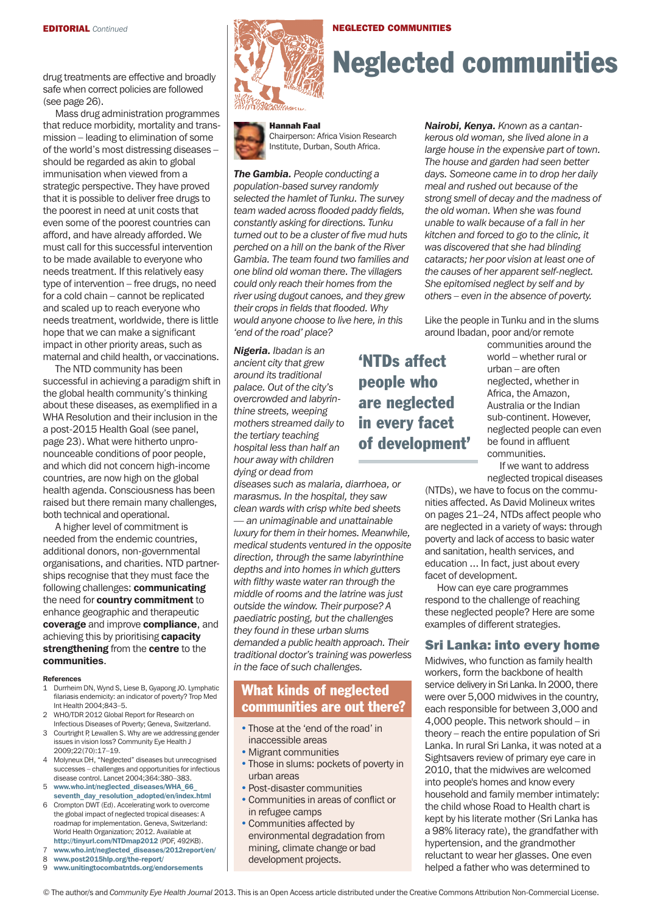safe when correct policies are followed (see page 26).

Mass drug administration programmes that reduce morbidity, mortality and transmission – leading to elimination of some of the world's most distressing diseases – should be regarded as akin to global immunisation when viewed from a strategic perspective. They have proved that it is possible to deliver free drugs to the poorest in need at unit costs that even some of the poorest countries can afford, and have already afforded. We must call for this successful intervention to be made available to everyone who needs treatment. If this relatively easy type of intervention – free drugs, no need for a cold chain – cannot be replicated and scaled up to reach everyone who needs treatment, worldwide, there is little hope that we can make a significant impact in other priority areas, such as maternal and child health, or vaccinations.

The NTD community has been successful in achieving a paradigm shift in the global health community's thinking about these diseases, as exemplified in a WHA Resolution and their inclusion in the a post-2015 Health Goal (see panel, page 23). What were hitherto unpronounceable conditions of poor people, and which did not concern high-income countries, are now high on the global health agenda. Consciousness has been raised but there remain many challenges, both technical and operational.

A higher level of commitment is needed from the endemic countries, additional donors, non-governmental organisations, and charities. NTD partnerships recognise that they must face the following challenges: communicating the need for country commitment to enhance geographic and therapeutic coverage and improve compliance, and achieving this by prioritising capacity strengthening from the centre to the communities.

#### **References**

- 1 Durrheim DN, Wynd S, Liese B, Gyapong JO. Lymphatic filariasis endemicity: an indicator of poverty? Trop Med Int Health 2004;843–5.
- 2 WHO/TDR 2012 Global Report for Research on Infectious Diseases of Poverty; Geneva, Switzerland.
- 3 Courtright P, Lewallen S. Why are we addressing gender issues in vision loss? Community Eye Health J 2009;22(70):17–19.
- 4 Molyneux DH, "Neglected" diseases but unrecognised successes – challenges and opportunities for infectious disease control. Lancet 2004;364:380–383.
- 5 www.who.int/neglected\_diseases/WHA\_66\_ seventh\_day\_resolution\_adopted/en/index.html
- 6 Crompton DWT (Ed). Accelerating work to overcome the global impact of neglected tropical diseases: A roadmap for implementation. Geneva, Switzerland: World Health Organization; 2012. Available at http://tinyurl.com/NtDmap2012 (PDF, 492KB).
- www.who.int/neglected\_diseases/2012report/en/
- 8 www.post2015hlp.org/the-report/ 9 www.unitingtocombatntds.org/endorsements



# drug treatments are effective and broadly  $\left|\sum_{i}^{N}$  Neglected communities

NeGLeCteD CoMMuNities

#### hannah Faal



Chairperson: Africa Vision Research Institute, Durban, South Africa.

*The Gambia. People conducting a population-based survey randomly selected the hamlet of Tunku. The survey team waded across flooded paddy fields, constantly asking for directions. Tunku turned out to be a cluster of five mud huts perched on a hill on the bank of the River Gambia. The team found two families and one blind old woman there. The villagers could only reach their homes from the river using dugout canoes, and they grew their crops in fields that flooded. Why would anyone choose to live here, in this 'end of the road' place?* 

*Nigeria. Ibadan is an ancient city that grew around its traditional palace. Out of the city's overcrowded and labyrinthine streets, weeping mothers streamed daily to the tertiary teaching hospital less than half an hour away with children dying or dead from* 

*diseases such as malaria, diarrhoea, or marasmus. In the hospital, they saw clean wards with crisp white bed sheets — an unimaginable and unattainable luxury for them in their homes. Meanwhile, medical students ventured in the opposite direction, through the same labyrinthine depths and into homes in which gutters with filthy waste water ran through the middle of rooms and the latrine was just outside the window. Their purpose? A paediatric posting, but the challenges they found in these urban slums demanded a public health approach. Their traditional doctor's training was powerless in the face of such challenges.* 

## What kinds of neglected communities are out there?

- Those at the 'end of the road' in inaccessible areas
- Migrant communities
- Those in slums: pockets of poverty in urban areas
- Post-disaster communities
- Communities in areas of conflict or in refugee camps
- Communities affected by environmental degradation from mining, climate change or bad development projects.

*Nairobi, Kenya. Known as a cantankerous old woman, she lived alone in a large house in the expensive part of town. The house and garden had seen better days. Someone came in to drop her daily meal and rushed out because of the strong smell of decay and the madness of the old woman. When she was found unable to walk because of a fall in her kitchen and forced to go to the clinic, it was discovered that she had blinding cataracts; her poor vision at least one of the causes of her apparent self-neglect. She epitomised neglect by self and by others – even in the absence of poverty.*

Like the people in Tunku and in the slums around Ibadan, poor and/or remote

'NTDs affect people who are neglected in every facet of development' communities around the world – whether rural or urban – are often neglected, whether in Africa, the Amazon, Australia or the Indian sub-continent. However, neglected people can even be found in affluent communities.

If we want to address neglected tropical diseases

(NTDs), we have to focus on the communities affected. As David Molineux writes on pages 21–24, NTDs affect people who are neglected in a variety of ways: through poverty and lack of access to basic water and sanitation, health services, and education ... In fact, just about every facet of development.

How can eye care programmes respond to the challenge of reaching these neglected people? Here are some examples of different strategies.

#### sri Lanka: into every home

Midwives, who function as family health workers, form the backbone of health service delivery in Sri Lanka. In 2000, there were over 5,000 midwives in the country, each responsible for between 3,000 and 4,000 people. This network should – in theory – reach the entire population of Sri Lanka. In rural Sri Lanka, it was noted at a Sightsavers review of primary eye care in 2010, that the midwives are welcomed into people's homes and know every household and family member intimately: the child whose Road to Health chart is kept by his literate mother (Sri Lanka has a 98% literacy rate), the grandfather with hypertension, and the grandmother reluctant to wear her glasses. One even helped a father who was determined to